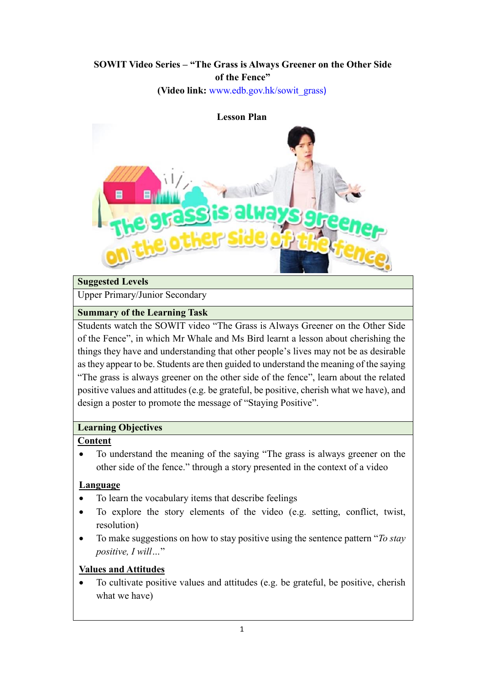# **SOWIT Video Series – "The Grass is Always Greener on the Other Side of the Fence"**

**(Video link:** [www.edb.gov.hk/sowit\\_grass](http://www.edb.gov.hk/sowit_grass))



### **Suggested Levels**

Upper Primary/Junior Secondary

### **Summary of the Learning Task**

Students watch the SOWIT video "The Grass is Always Greener on the Other Side of the Fence", in which Mr Whale and Ms Bird learnt a lesson about cherishing the things they have and understanding that other people's lives may not be as desirable as they appear to be. Students are then guided to understand the meaning of the saying "The grass is always greener on the other side of the fence", learn about the related positive values and attitudes (e.g. be grateful, be positive, cherish what we have), and design a poster to promote the message of "Staying Positive".

## **Learning Objectives**

### **Content**

 To understand the meaning of the saying "The grass is always greener on the other side of the fence." through a story presented in the context of a video

### **Language**

- To learn the vocabulary items that describe feelings
- To explore the story elements of the video (e.g. setting, conflict, twist, resolution)
- To make suggestions on how to stay positive using the sentence pattern "*To stay positive, I will…*"

### **Values and Attitudes**

 To cultivate positive values and attitudes (e.g. be grateful, be positive, cherish what we have)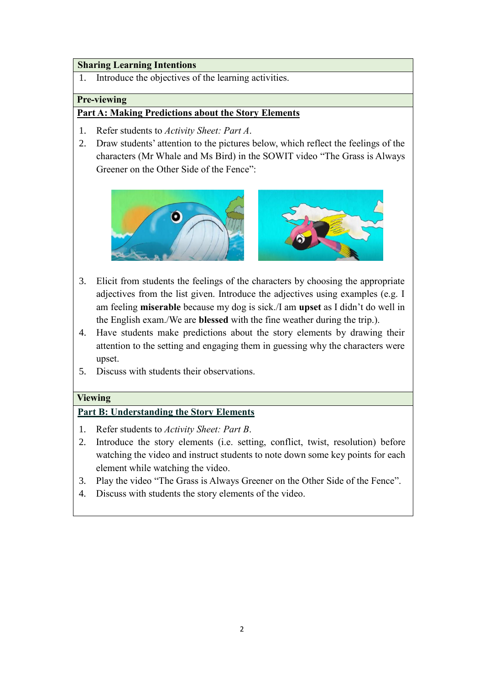#### **Sharing Learning Intentions**

1. Introduce the objectives of the learning activities.

#### **Pre-viewing**

## **Part A: Making Predictions about the Story Elements**

- 1. Refer students to *Activity Sheet: Part A*.
- 2. Draw students' attention to the pictures below, which reflect the feelings of the characters (Mr Whale and Ms Bird) in the SOWIT video "The Grass is Always Greener on the Other Side of the Fence":



- 3. Elicit from students the feelings of the characters by choosing the appropriate adjectives from the list given. Introduce the adjectives using examples (e.g. I am feeling **miserable** because my dog is sick./I am **upset** as I didn't do well in the English exam./We are **blessed** with the fine weather during the trip.).
- 4. Have students make predictions about the story elements by drawing their attention to the setting and engaging them in guessing why the characters were upset.
- 5. Discuss with students their observations.

#### **Viewing**

### **Part B: Understanding the Story Elements**

- 1. Refer students to *Activity Sheet: Part B*.
- 2. Introduce the story elements (i.e. setting, conflict, twist, resolution) before watching the video and instruct students to note down some key points for each element while watching the video.
- 3. Play the video "The Grass is Always Greener on the Other Side of the Fence".
- 4. Discuss with students the story elements of the video.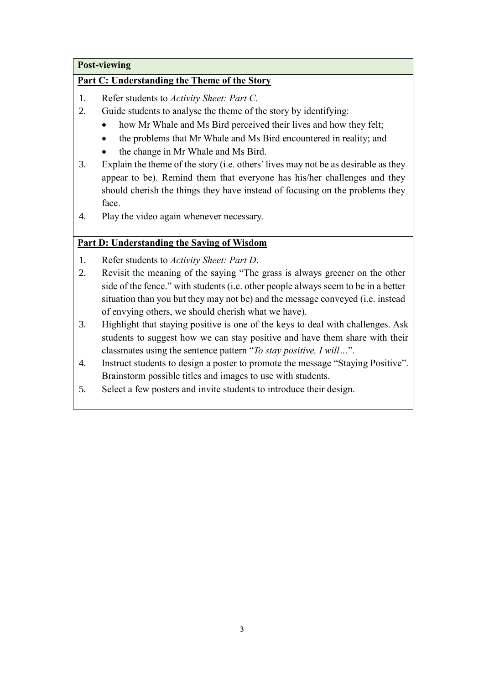## **Post-viewing**

## **Part C: Understanding the Theme of the Story**

- 1. Refer students to *Activity Sheet: Part C*.
- 2. Guide students to analyse the theme of the story by identifying:
	- how Mr Whale and Ms Bird perceived their lives and how they felt;
	- the problems that Mr Whale and Ms Bird encountered in reality; and
	- the change in Mr Whale and Ms Bird.
- 3. Explain the theme of the story (i.e. others' lives may not be as desirable as they appear to be). Remind them that everyone has his/her challenges and they should cherish the things they have instead of focusing on the problems they face.
- 4. Play the video again whenever necessary.

## **Part D: Understanding the Saying of Wisdom**

- 1. Refer students to *Activity Sheet: Part D*.
- 2. Revisit the meaning of the saying "The grass is always greener on the other side of the fence." with students (i.e. other people always seem to be in a better situation than you but they may not be) and the message conveyed (i.e. instead of envying others, we should cherish what we have).
- 3. Highlight that staying positive is one of the keys to deal with challenges. Ask students to suggest how we can stay positive and have them share with their classmates using the sentence pattern "*To stay positive, I will…*".
- 4. Instruct students to design a poster to promote the message "Staying Positive". Brainstorm possible titles and images to use with students.
- 5. Select a few posters and invite students to introduce their design.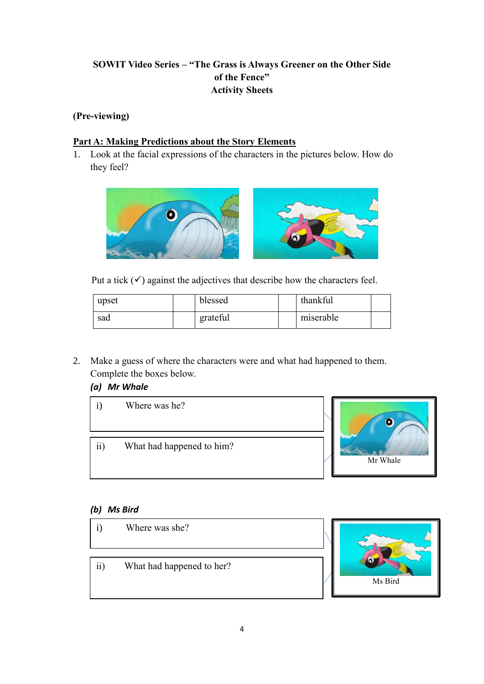## **SOWIT Video Series – "The Grass is Always Greener on the Other Side of the Fence" Activity Sheets**

## **(Pre-viewing)**

## **Part A: Making Predictions about the Story Elements**

1. Look at the facial expressions of the characters in the pictures below. How do they feel?



Put a tick  $(\checkmark)$  against the adjectives that describe how the characters feel.

| upset | blessed  | thankful  |  |
|-------|----------|-----------|--|
| sad   | grateful | miserable |  |

2. Make a guess of where the characters were and what had happened to them. Complete the boxes below.

## *(a) Mr Whale*



## *(b) Ms Bird*

- i) Where was she?
- ii) What had happened to her?

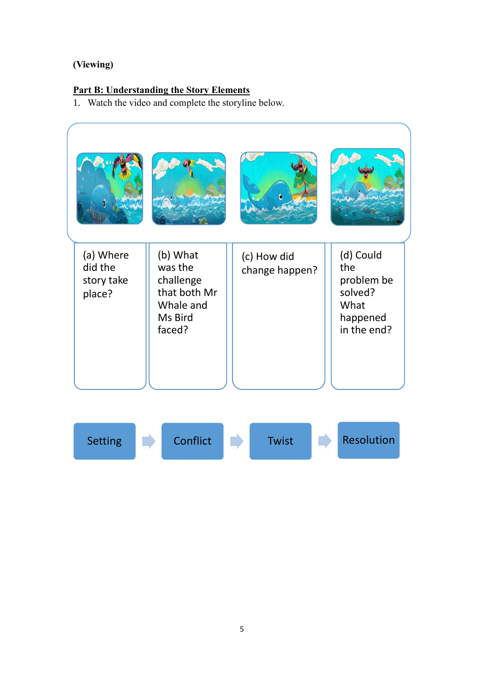## **(Viewing)**

## **Part B: Understanding the Story Elements**

1. Watch the video and complete the storyline below.

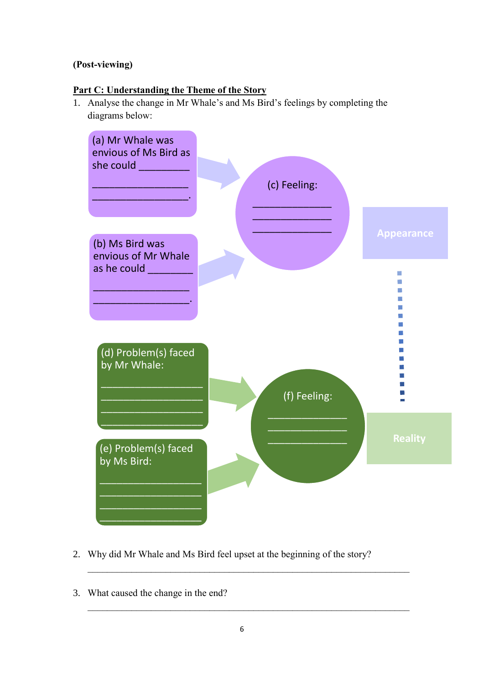## **(Post-viewing)**

## **Part C: Understanding the Theme of the Story**

1. Analyse the change in Mr Whale's and Ms Bird's feelings by completing the diagrams below:



- 2. Why did Mr Whale and Ms Bird feel upset at the beginning of the story?
- 3. What caused the change in the end?

 $\_$  , and the set of the set of the set of the set of the set of the set of the set of the set of the set of the set of the set of the set of the set of the set of the set of the set of the set of the set of the set of th

 $\_$  , and the set of the set of the set of the set of the set of the set of the set of the set of the set of the set of the set of the set of the set of the set of the set of the set of the set of the set of the set of th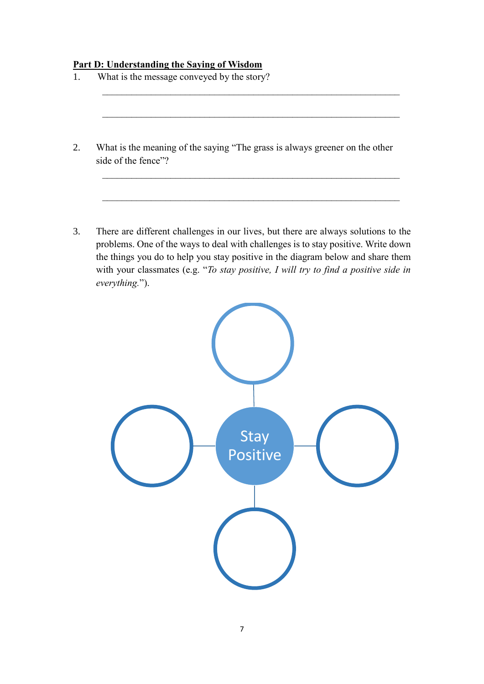#### **Part D: Understanding the Saying of Wisdom**

- 1. What is the message conveyed by the story?  $\mathcal{L}_\text{max}$  , and the contribution of the contribution of the contribution of the contribution of the contribution of the contribution of the contribution of the contribution of the contribution of the contribution of t  $\mathcal{L}_\text{max}$  , and the contribution of the contribution of the contribution of the contribution of the contribution of the contribution of the contribution of the contribution of the contribution of the contribution of t 2. What is the meaning of the saying "The grass is always greener on the other side of the fence"?  $\mathcal{L}_\text{max}$  , and the contribution of the contribution of the contribution of the contribution of the contribution of the contribution of the contribution of the contribution of the contribution of the contribution of t
- 3. There are different challenges in our lives, but there are always solutions to the problems. One of the ways to deal with challenges is to stay positive. Write down the things you do to help you stay positive in the diagram below and share them with your classmates (e.g. "*To stay positive, I will try to find a positive side in everything.*").

 $\mathcal{L}_\text{max}$  , and the contribution of the contribution of the contribution of the contribution of the contribution of the contribution of the contribution of the contribution of the contribution of the contribution of t

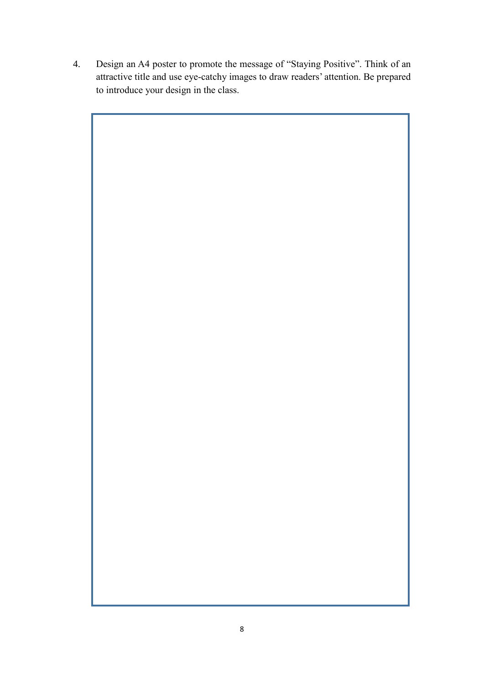4. Design an A4 poster to promote the message of "Staying Positive". Think of an attractive title and use eye-catchy images to draw readers' attention. Be prepared to introduce your design in the class.

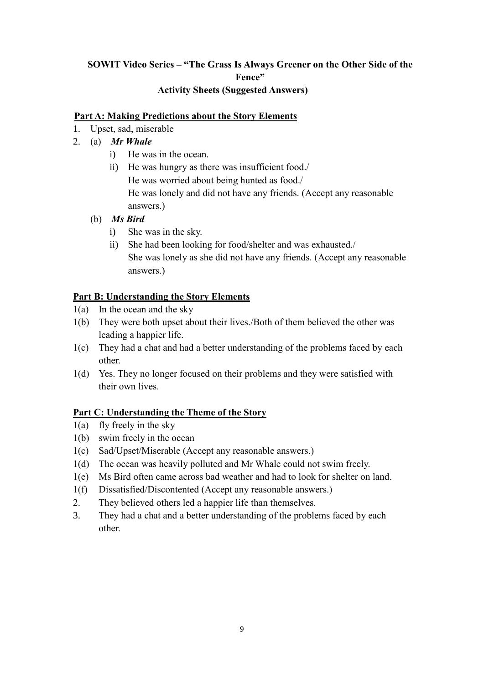## **SOWIT Video Series – "The Grass Is Always Greener on the Other Side of the Fence" Activity Sheets (Suggested Answers)**

#### **Part A: Making Predictions about the Story Elements**

- 1. Upset, sad, miserable
- 2. (a) *Mr Whale*
	- i) He was in the ocean.
	- ii) He was hungry as there was insufficient food./ He was worried about being hunted as food./ He was lonely and did not have any friends. (Accept any reasonable answers.)
	- (b) *Ms Bird*
		- i) She was in the sky.
		- ii) She had been looking for food/shelter and was exhausted./ She was lonely as she did not have any friends. (Accept any reasonable answers.)

### **Part B: Understanding the Story Elements**

- 1(a) In the ocean and the sky
- 1(b) They were both upset about their lives./Both of them believed the other was leading a happier life.
- 1(c) They had a chat and had a better understanding of the problems faced by each other.
- 1(d) Yes. They no longer focused on their problems and they were satisfied with their own lives.

### **Part C: Understanding the Theme of the Story**

- 1(a) fly freely in the sky
- 1(b) swim freely in the ocean
- 1(c) Sad/Upset/Miserable (Accept any reasonable answers.)
- 1(d) The ocean was heavily polluted and Mr Whale could not swim freely.
- 1(e) Ms Bird often came across bad weather and had to look for shelter on land.
- 1(f) Dissatisfied/Discontented (Accept any reasonable answers.)
- 2. They believed others led a happier life than themselves.
- 3. They had a chat and a better understanding of the problems faced by each other.